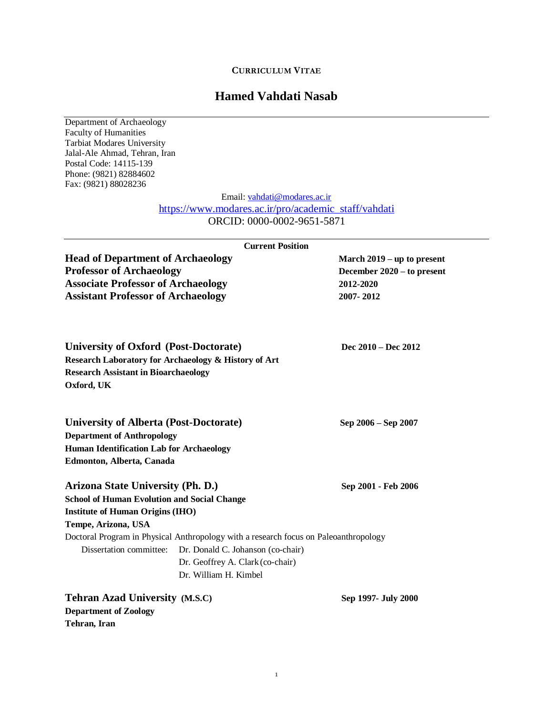# **CURRICULUM VITAE**

# **Hamed Vahdati Nasab**

Department of Archaeology Faculty of Humanities Tarbiat Modares University Jalal-Ale Ahmad, Tehran, Iran Postal Code: 14115-139 Phone: (9821) 82884602 Fax: (9821) 88028236

**Department of Zoology**

**Tehran, Iran**

Email: [vahdati@modares.ac.ir](mailto:vahdati@modares.ac.ir)

# [https://www.modares.ac.ir/pro/academic\\_staff/vahdati](https://www.modares.ac.ir/pro/academic_staff/vahdati) ORCID: 0000-0002-9651-5871

|                                                                             | <b>Current Position</b>                                                              |                            |
|-----------------------------------------------------------------------------|--------------------------------------------------------------------------------------|----------------------------|
| <b>Head of Department of Archaeology</b><br><b>Professor of Archaeology</b> |                                                                                      | March 2019 – up to present |
|                                                                             |                                                                                      | December 2020 – to present |
| <b>Associate Professor of Archaeology</b>                                   |                                                                                      | 2012-2020                  |
| <b>Assistant Professor of Archaeology</b>                                   |                                                                                      | 2007-2012                  |
| University of Oxford (Post-Doctorate)                                       |                                                                                      | Dec 2010 – Dec 2012        |
| Research Laboratory for Archaeology & History of Art                        |                                                                                      |                            |
| <b>Research Assistant in Bioarchaeology</b>                                 |                                                                                      |                            |
| Oxford, UK                                                                  |                                                                                      |                            |
| <b>University of Alberta (Post-Doctorate)</b>                               |                                                                                      | Sep 2006 – Sep 2007        |
| <b>Department of Anthropology</b>                                           |                                                                                      |                            |
| <b>Human Identification Lab for Archaeology</b>                             |                                                                                      |                            |
| Edmonton, Alberta, Canada                                                   |                                                                                      |                            |
| Arizona State University (Ph. D.)                                           |                                                                                      | Sep 2001 - Feb 2006        |
| <b>School of Human Evolution and Social Change</b>                          |                                                                                      |                            |
| <b>Institute of Human Origins (IHO)</b>                                     |                                                                                      |                            |
| Tempe, Arizona, USA                                                         |                                                                                      |                            |
|                                                                             | Doctoral Program in Physical Anthropology with a research focus on Paleoanthropology |                            |
|                                                                             | Dissertation committee: Dr. Donald C. Johanson (co-chair)                            |                            |
|                                                                             | Dr. Geoffrey A. Clark (co-chair)                                                     |                            |
|                                                                             | Dr. William H. Kimbel                                                                |                            |
| <b>Tehran Azad University (M.S.C)</b>                                       |                                                                                      | Sep 1997- July 2000        |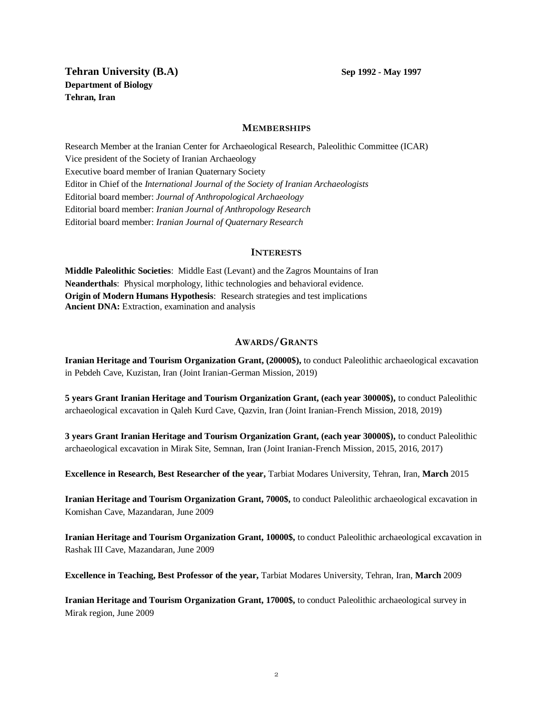**Tehran University** (**B.A**) **Sep 1992 -** May 1997 **Department of Biology Tehran, Iran**

#### **MEMBERSHIPS**

Research Member at the Iranian Center for Archaeological Research, Paleolithic Committee (ICAR) Vice president of the Society of Iranian Archaeology Executive board member of Iranian Quaternary Society Editor in Chief of the *International Journal of the Society of Iranian Archaeologists* Editorial board member: *Journal of Anthropological Archaeology* Editorial board member: *Iranian Journal of Anthropology Research* Editorial board member: *Iranian Journal of Quaternary Research*

#### **INTERESTS**

**Middle Paleolithic Societies**: Middle East (Levant) and the Zagros Mountains of Iran **Neanderthals**: Physical morphology, lithic technologies and behavioral evidence. **Origin of Modern Humans Hypothesis**: Research strategies and test implications **Ancient DNA:** Extraction, examination and analysis

# **AWARDS/GRANTS**

**Iranian Heritage and Tourism Organization Grant, (20000\$),** to conduct Paleolithic archaeological excavation in Pebdeh Cave, Kuzistan, Iran (Joint Iranian-German Mission, 2019)

**5 years Grant Iranian Heritage and Tourism Organization Grant, (each year 30000\$),** to conduct Paleolithic archaeological excavation in Qaleh Kurd Cave, Qazvin, Iran (Joint Iranian-French Mission, 2018, 2019)

**3 years Grant Iranian Heritage and Tourism Organization Grant, (each year 30000\$),** to conduct Paleolithic archaeological excavation in Mirak Site, Semnan, Iran (Joint Iranian-French Mission, 2015, 2016, 2017)

**Excellence in Research, Best Researcher of the year,** Tarbiat Modares University, Tehran, Iran, **March** 2015

**Iranian Heritage and Tourism Organization Grant, 7000\$,** to conduct Paleolithic archaeological excavation in Komishan Cave, Mazandaran, June 2009

**Iranian Heritage and Tourism Organization Grant, 10000\$,** to conduct Paleolithic archaeological excavation in Rashak III Cave, Mazandaran, June 2009

**Excellence in Teaching, Best Professor of the year,** Tarbiat Modares University, Tehran, Iran, **March** 2009

**Iranian Heritage and Tourism Organization Grant, 17000\$,** to conduct Paleolithic archaeological survey in Mirak region, June 2009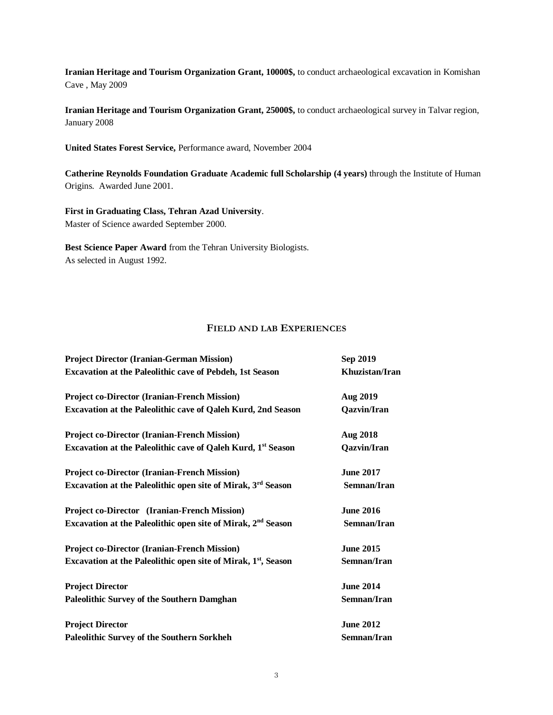**Iranian Heritage and Tourism Organization Grant, 10000\$,** to conduct archaeological excavation in Komishan Cave , May 2009

**Iranian Heritage and Tourism Organization Grant, 25000\$,** to conduct archaeological survey in Talvar region, January 2008

**United States Forest Service,** Performance award, November 2004

**Catherine Reynolds Foundation Graduate Academic full Scholarship (4 years)** through the Institute of Human Origins. Awarded June 2001.

**First in Graduating Class, Tehran Azad University**. Master of Science awarded September 2000.

**Best Science Paper Award** from the Tehran University Biologists. As selected in August 1992.

# **FIELD AND LAB EXPERIENCES**

| <b>Project Director (Iranian-German Mission)</b>                           | Sep 2019           |  |
|----------------------------------------------------------------------------|--------------------|--|
| Excavation at the Paleolithic cave of Pebdeh, 1st Season                   | Khuzistan/Iran     |  |
| <b>Project co-Director (Iranian-French Mission)</b>                        | Aug 2019           |  |
| Excavation at the Paleolithic cave of Qaleh Kurd, 2nd Season               | <b>Qazvin/Iran</b> |  |
| <b>Project co-Director (Iranian-French Mission)</b>                        | <b>Aug 2018</b>    |  |
| Excavation at the Paleolithic cave of Qaleh Kurd, 1 <sup>st</sup> Season   | Qazvin/Iran        |  |
| <b>Project co-Director (Iranian-French Mission)</b>                        | <b>June 2017</b>   |  |
| Excavation at the Paleolithic open site of Mirak, 3rd Season               | Semnan/Iran        |  |
| Project co-Director (Iranian-French Mission)                               | <b>June 2016</b>   |  |
| Excavation at the Paleolithic open site of Mirak, 2 <sup>nd</sup> Season   | Semnan/Iran        |  |
| <b>Project co-Director (Iranian-French Mission)</b>                        | <b>June 2015</b>   |  |
| Excavation at the Paleolithic open site of Mirak, 1 <sup>st</sup> , Season | Semnan/Iran        |  |
| <b>Project Director</b>                                                    | <b>June 2014</b>   |  |
| <b>Paleolithic Survey of the Southern Damghan</b>                          | Semnan/Iran        |  |
| <b>Project Director</b>                                                    | <b>June 2012</b>   |  |
| Paleolithic Survey of the Southern Sorkheh                                 | Semnan/Iran        |  |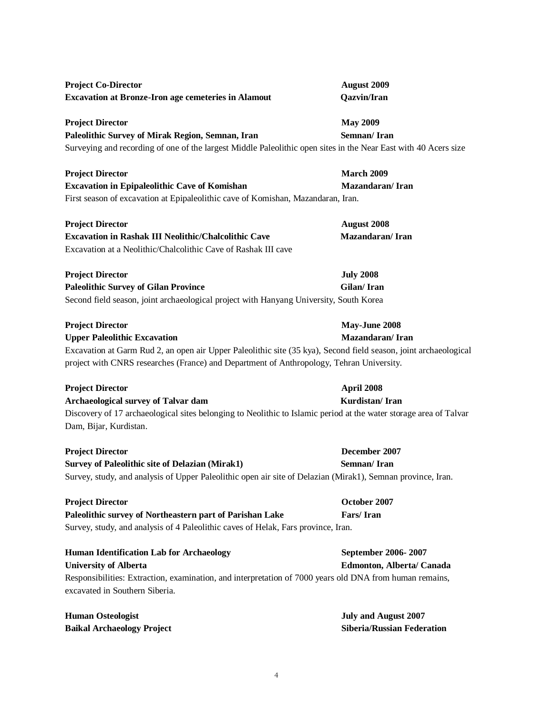**Project Director May 2009**  Paleolithic Survey of Mirak Region, Semnan, Iran Semnan/ Iran **Project Director March 2009 Excavation in Epipaleolithic Cave of Komishan Mazandaran/ Iran Project Director July 2008 Project Director May-June 2008 Upper Paleolithic Excavation Mazandaran/ Iran**

# **Project Director April 2008**

**Archaeological survey of Talvar dam Kurdistan/ Iran** Discovery of 17 archaeological sites belonging to Neolithic to Islamic period at the water storage area of Talvar Dam, Bijar, Kurdistan.

**Project Director December 2007**

**Survey of Paleolithic site of Delazian (Mirak1) Semnan/ Iran** Survey, study, and analysis of Upper Paleolithic open air site of Delazian (Mirak1), Semnan province, Iran.

**Project Director October 2007 Paleolithic survey of Northeastern part of Parishan Lake Fars/ Iran** Survey, study, and analysis of 4 Paleolithic caves of Helak, Fars province, Iran.

**Human Identification Lab for Archaeology <b>September 2006-2007 University of Alberta Edmonton, Alberta/ Canada** Responsibilities: Extraction, examination, and interpretation of 7000 years old DNA from human remains, excavated in Southern Siberia.

4

**Human Osteologist July and August 2007 Baikal Archaeology Project Siberia/Russian Federation**

# **Project Co-Director August 2009 Excavation at Bronze-Iron age cemeteries in Alamout Qazvin/Iran**

Surveying and recording of one of the largest Middle Paleolithic open sites in the Near East with 40 Acers size

First season of excavation at Epipaleolithic cave of Komishan, Mazandaran, Iran.

| <b>Project Director</b>                                        | August 2008     |  |
|----------------------------------------------------------------|-----------------|--|
| Excavation in Rashak III Neolithic/Chalcolithic Cave           | Mazandaran/Iran |  |
| Excavation at a Neolithic/Chalcolithic Cave of Rashak III cave |                 |  |

Paleolithic Survey of Gilan Province **Gilan Constanting Constanting Constanting Constanting Constanting Constanting Constanting Constanting Constanting Constanting Constanting Constanting Constanting Constanting Constantin** Second field season, joint archaeological project with Hanyang University, South Korea

Excavation at Garm Rud 2, an open air Upper Paleolithic site (35 kya), Second field season, joint archaeological project with CNRS researches (France) and Department of Anthropology, Tehran University.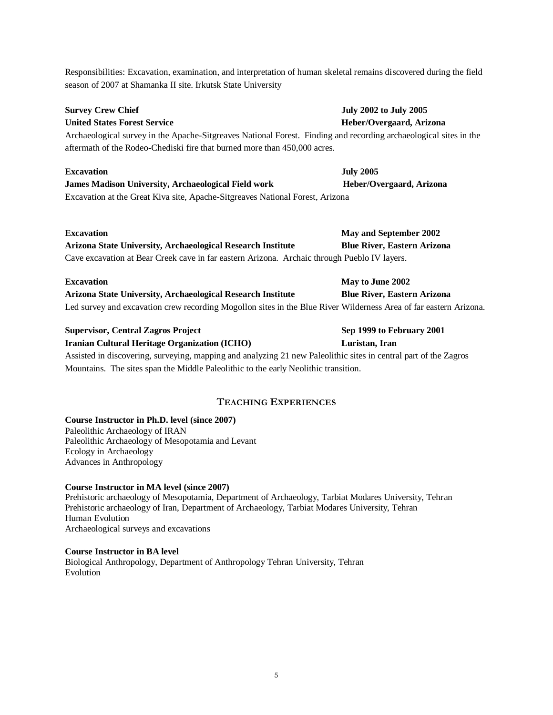Responsibilities: Excavation, examination, and interpretation of human skeletal remains discovered during the field season of 2007 at Shamanka II site. Irkutsk State University

Archaeological survey in the Apache-Sitgreaves National Forest. Finding and recording archaeological sites in the aftermath of the Rodeo-Chediski fire that burned more than 450,000 acres.

### **Excavation July 2005**

**James Madison University, Archaeological Field work Heber/Overgaard, Arizona** Excavation at the Great Kiva site, Apache-Sitgreaves National Forest, Arizona

#### **Excavation May and September 2002**

**Arizona State University, Archaeological Research Institute Blue River, Eastern Arizona**  Cave excavation at Bear Creek cave in far eastern Arizona. Archaic through Pueblo IV layers.

#### **Excavation May to June 2002**

**Arizona State University, Archaeological Research Institute Blue River, Eastern Arizona**  Led survey and excavation crew recording Mogollon sites in the Blue River Wilderness Area of far eastern Arizona.

#### **Supervisor, Central Zagros Project Sep 1999 to February 2001**

**Iranian Cultural Heritage Organization (ICHO) Luristan, Iran**

Assisted in discovering, surveying, mapping and analyzing 21 new Paleolithic sites in central part of the Zagros Mountains. The sites span the Middle Paleolithic to the early Neolithic transition.

# **TEACHING EXPERIENCES**

### **Course Instructor in Ph.D. level (since 2007)**

Paleolithic Archaeology of IRAN Paleolithic Archaeology of Mesopotamia and Levant Ecology in Archaeology Advances in Anthropology

#### **Course Instructor in MA level (since 2007)**

Prehistoric archaeology of Mesopotamia, Department of Archaeology, Tarbiat Modares University, Tehran Prehistoric archaeology of Iran, Department of Archaeology, Tarbiat Modares University, Tehran Human Evolution Archaeological surveys and excavations

# **Course Instructor in BA level**

Biological Anthropology, Department of Anthropology Tehran University, Tehran Evolution

# **Survey Crew Chief 32002 to July 2002 to July 2005 United States Forest Service Heber/Overgaard, Arizona**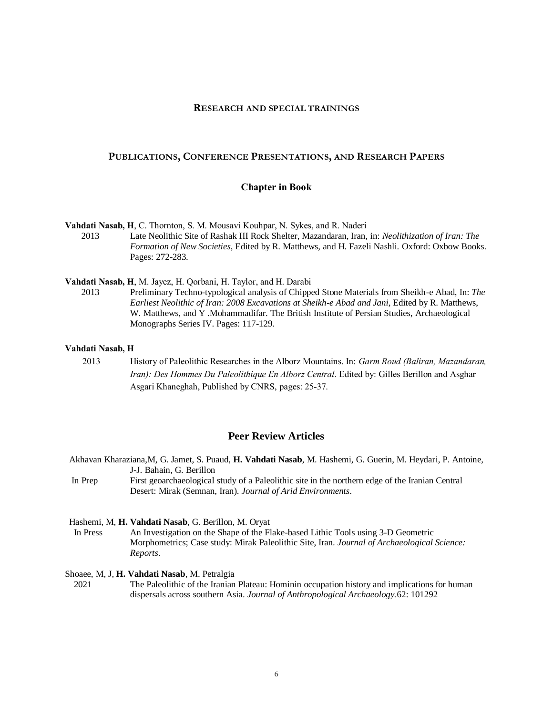#### **RESEARCH AND SPECIAL TRAININGS**

#### **PUBLICATIONS, CONFERENCE PRESENTATIONS, AND RESEARCH PAPERS**

#### **Chapter in Book**

**Vahdati Nasab, H**, C. Thornton, S. M. Mousavi Kouhpar, N. Sykes, and R. Naderi

2013 Late Neolithic Site of Rashak III Rock Shelter, Mazandaran, Iran, in: *Neolithization of Iran: The Formation of New Societies*, Edited by R. Matthews, and H. Fazeli Nashli. Oxford: Oxbow Books. Pages: 272-283.

**Vahdati Nasab, H**, M. Jayez, H. Qorbani, H. Taylor, and H. Darabi

2013 Preliminary Techno-typological analysis of Chipped Stone Materials from Sheikh-e Abad, In: *The Earliest Neolithic of Iran: 2008 Excavations at Sheikh-e Abad and Jani*, Edited by R. Matthews, W. Matthews, and Y .Mohammadifar. The British Institute of Persian Studies, Archaeological Monographs Series IV. Pages: 117-129.

#### **Vahdati Nasab, H**

2013 History of Paleolithic Researches in the Alborz Mountains. In: *Garm Roud (Baliran, Mazandaran, Iran): Des Hommes Du Paleolithique En Alborz Central*. Edited by: Gilles Berillon and Asghar Asgari Khaneghah, Published by CNRS, pages: 25-37.

### **Peer Review Articles**

- Akhavan Kharaziana,M, G. Jamet, S. Puaud, **H. Vahdati Nasab**, M. Hashemi, G. Guerin, M. Heydari, P. Antoine, J-J. Bahain, G. Berillon
- In Prep First geoarchaeological study of a Paleolithic site in the northern edge of the Iranian Central Desert: Mirak (Semnan, Iran). *Journal of Arid Environments*.

Hashemi, M, **H. Vahdati Nasab**, G. Berillon, M. Oryat

 In Press An Investigation on the Shape of the Flake-based Lithic Tools using 3-D Geometric Morphometrics; Case study: Mirak Paleolithic Site, Iran. *Journal of Archaeological Science: Reports*.

Shoaee, M, J, **H. Vahdati Nasab**, M. Petralgia

 2021 The Paleolithic of the Iranian Plateau: Hominin occupation history and implications for human dispersals across southern Asia. *Journal of Anthropological Archaeology.*62: 101292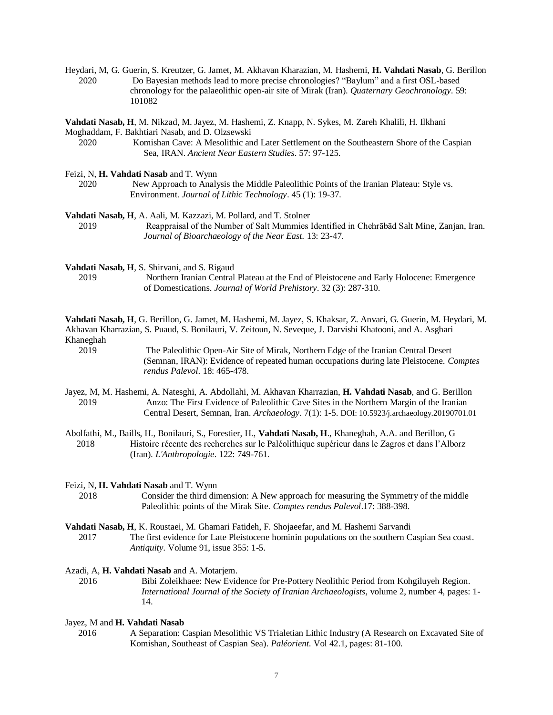Heydari, M, G. Guerin, S. Kreutzer, G. Jamet, M. Akhavan Kharazian, M. Hashemi, **H. Vahdati Nasab**, G. Berillon 2020 Do Bayesian methods lead to more precise chronologies? "Baylum" and a first OSL-based chronology for the palaeolithic open-air site of Mirak (Iran). *Quaternary Geochronology*. 59: 101082

**Vahdati Nasab, H**, M. Nikzad, M. Jayez, M. Hashemi, Z. Knapp, N. Sykes, M. Zareh Khalili, H. Ilkhani Moghaddam, F. Bakhtiari Nasab, and D. Olzsewski

Feizi, N, **H. Vahdati Nasab** and T. Wynn

2020 New Approach to Analysis the Middle Paleolithic Points of the Iranian Plateau: Style vs. Environment. *Journal of Lithic Technology*. 45 (1): 19-37.

**Vahdati Nasab, H**, A. Aali, M. Kazzazi, M. Pollard, and T. Stolner 2019 Reappraisal of the Number of Salt Mummies Identified in Chehrābād Salt Mine, Zanjan, Iran. *Journal of Bioarchaeology of the Near East.* 13: 23-47.

**Vahdati Nasab, H**, S. Shirvani, and S. Rigaud

2019 Northern Iranian Central Plateau at the End of Pleistocene and Early Holocene: Emergence of Domestications. *Journal of World Prehistory*. 32 (3): 287-310.

**Vahdati Nasab, H**, G. Berillon, G. Jamet, M. Hashemi, M. Jayez, S. Khaksar, Z. Anvari, G. Guerin, M. Heydari, M. Akhavan Kharrazian, S. Puaud, S. Bonilauri, V. Zeitoun, N. Seveque, J. Darvishi Khatooni, and A. Asghari Khaneghah

2019 The Paleolithic Open-Air Site of Mirak, Northern Edge of the Iranian Central Desert (Semnan, IRAN): Evidence of repeated human occupations during late Pleistocene. *Comptes rendus Palevol*. 18: 465-478.

- Jayez, M, M. Hashemi, A. Natesghi, A. Abdollahi, M. Akhavan Kharrazian, **H. Vahdati Nasab**, and G. Berillon 2019 Anzo: The First Evidence of Paleolithic Cave Sites in the Northern Margin of the Iranian Central Desert, Semnan, Iran. *Archaeology*. 7(1): 1-5. DOI: 10.5923/j.archaeology.20190701.01
- Abolfathi, M., Baills, H., Bonilauri, S., Forestier, H., **Vahdati Nasab, H**., Khaneghah, A.A. and Berillon, G 2018 Histoire récente des recherches sur le Paléolithique supérieur dans le Zagros et dans l'Alborz (Iran). *L'Anthropologie*. 122: 749-761.

#### Feizi, N, **H. Vahdati Nasab** and T. Wynn

2018 Consider the third dimension: A New approach for measuring the Symmetry of the middle Paleolithic points of the Mirak Site. *Comptes rendus Palevol*.17: 388-398.

### **Vahdati Nasab, H**, K. Roustaei, M. Ghamari Fatideh, F. Shojaeefar, and M. Hashemi Sarvandi 2017 The first evidence for Late Pleistocene hominin populations on the southern Caspian Sea coast. *Antiquity*. Volume 91, issue 355: 1-5.

#### Azadi, A, **H. Vahdati Nasab** and A. Motarjem.

2016 Bibi Zoleikhaee: New Evidence for Pre-Pottery Neolithic Period from Kohgiluyeh Region. *International Journal of the Society of Iranian Archaeologists*, volume 2, number 4, pages: 1- 14.

#### Jayez, M and **H. Vahdati Nasab**

 2016 A Separation: Caspian Mesolithic VS Trialetian Lithic Industry (A Research on Excavated Site of Komishan, Southeast of Caspian Sea). *Paléorient*. Vol 42.1, pages: 81-100.

<sup>2020</sup> Komishan Cave: A Mesolithic and Later Settlement on the Southeastern Shore of the Caspian Sea, IRAN. *Ancient Near Eastern Studies*. 57: 97-125.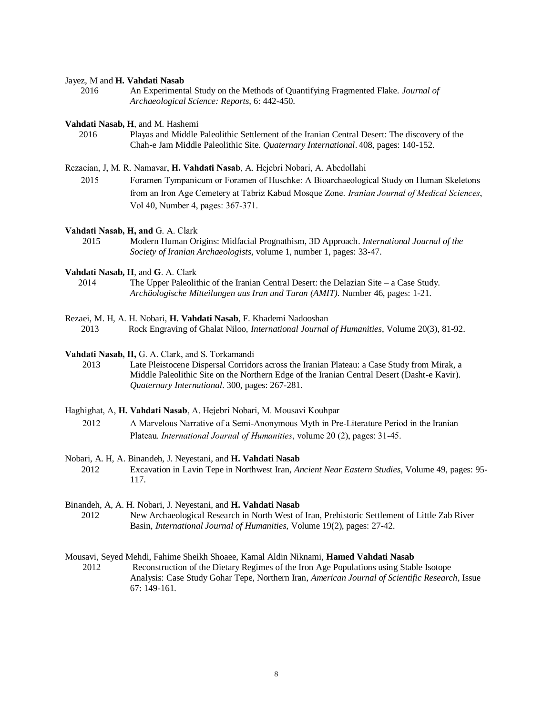#### Jayez, M and **H. Vahdati Nasab**

 2016 An Experimental Study on the Methods of Quantifying Fragmented Flake. *Journal of Archaeological Science: Reports*, 6: 442-450.

**Vahdati Nasab, H**, and M. Hashemi

 2016 Playas and Middle Paleolithic Settlement of the Iranian Central Desert: The discovery of the Chah-e Jam Middle Paleolithic Site. *Quaternary International*. 408, pages: 140-152.

Rezaeian, J, M. R. Namavar, **H. Vahdati Nasab**, A. Hejebri Nobari, A. Abedollahi

 2015 Foramen Tympanicum or Foramen of Huschke: A Bioarchaeological Study on Human Skeletons from an Iron Age Cemetery at Tabriz Kabud Mosque Zone. *Iranian Journal of Medical Sciences*, Vol 40, Number 4, pages: 367-371.

**Vahdati Nasab, H, and** G. A. Clark

 2015 Modern Human Origins: Midfacial Prognathism, 3D Approach. *International Journal of the Society of Iranian Archaeologists*, volume 1, number 1, pages: 33-47.

**Vahdati Nasab, H**, and **G**. A. Clark

 2014 The Upper Paleolithic of the Iranian Central Desert: the Delazian Site – a Case Study. *[Archäologische Mitteilungen aus Iran und Turan](http://www.google.com/url?sa=t&rct=j&q=amit%20journal%20archaeology&source=web&cd=1&cad=rja&ved=0CDMQFjAA&url=http%3A%2F%2Fwww.dainst.org%2Fen%2Fpublication%2Farch%25C3%25A4ologische-mitteilungen-aus-iran-und-turan%3Fft%3Dall&ei=0-YVUYiqCMqQswbsoIHoBw&usg=AFQjCNEsU6dU10bqkSv6CX1JN16lj1homg&bvm=bv.42080656,d.Yms) (AMIT)*. Number 46, pages: 1-21.

Rezaei, M. H, A. H. Nobari, **H. Vahdati Nasab**, F. Khademi Nadooshan

2013Rock Engraving of Ghalat Niloo, *International Journal of Humanities*, Volume 20(3), 81-92.

**Vahdati Nasab, H,** G. A. Clark, and S. Torkamandi

 2013 Late Pleistocene Dispersal Corridors across the Iranian Plateau: a Case Study from Mirak, a Middle Paleolithic Site on the Northern Edge of the Iranian Central Desert (Dasht-e Kavir). *Quaternary International*. 300, pages: 267-281.

Haghighat, A, **H. Vahdati Nasab**, A. Hejebri Nobari, M. Mousavi Kouhpar

2012 A Marvelous Narrative of a Semi-Anonymous Myth in Pre-Literature Period in the Iranian Plateau. *International Journal of Humanities*, volume 20 (2), pages: 31-45.

- Nobari, A. H, A. Binandeh, J. Neyestani, and **H. Vahdati Nasab** 2012 Excavation in Lavin Tepe in Northwest Iran, *Ancient Near Eastern Studies*, Volume 49, pages: 95- 117.
- Binandeh, A, A. H. Nobari, J. Neyestani, and **H. Vahdati Nasab** 2012 New Archaeological Research in North West of Iran, Prehistoric Settlement of Little Zab River Basin, *International Journal of Humanities*, Volume 19(2), pages: 27-42.

Mousavi, Seyed Mehdi, Fahime Sheikh Shoaee, Kamal Aldin Niknami, **Hamed Vahdati Nasab** 2012 Reconstruction of the Dietary Regimes of the Iron Age Populations using Stable Isotope Analysis: Case Study Gohar Tepe, Northern Iran, *American Journal of Scientific Research*, Issue 67: 149-161.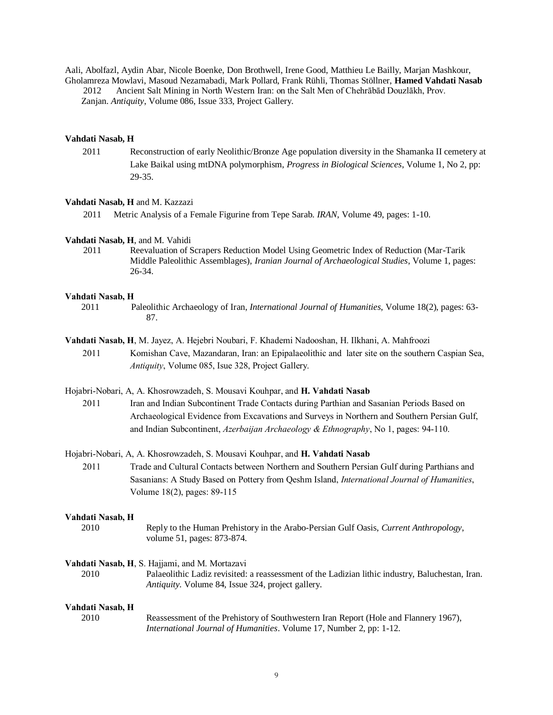Aali, Abolfazl, Aydin Abar, Nicole Boenke, Don Brothwell, Irene Good, Matthieu Le Bailly, Marjan Mashkour, Gholamreza Mowlavi, Masoud Nezamabadi, Mark Pollard, Frank Rühli, Thomas Stöllner, **Hamed Vahdati Nasab**

2012 Ancient Salt Mining in North Western Iran: on the Salt Men of Chehrābād Douzlākh, Prov.

Zanjan. *Antiquity*, Volume 086, Issue 333, Project Gallery.

### **Vahdati Nasab, H**

2011 Reconstruction of early Neolithic/Bronze Age population diversity in the Shamanka II cemetery at Lake Baikal using mtDNA polymorphism, *Progress in Biological Sciences*, Volume 1, No 2, pp: 29-35.

#### **Vahdati Nasab, H** and M. Kazzazi

2011 Metric Analysis of a Female Figurine from Tepe Sarab. *IRAN*, Volume 49, pages: 1-10.

#### **Vahdati Nasab, H**, and M. Vahidi

 2011 Reevaluation of Scrapers Reduction Model Using Geometric Index of Reduction (Mar-Tarik Middle Paleolithic Assemblages), *Iranian Journal of Archaeological Studies*, Volume 1, pages: 26-34.

#### **Vahdati Nasab, H**

- 2011 Paleolithic Archaeology of Iran, *International Journal of Humanities*, Volume 18(2), pages: 63- 87.
- **Vahdati Nasab, H**, M. Jayez, A. Hejebri Noubari, F. Khademi Nadooshan, H. Ilkhani, A. Mahfroozi 2011 Komishan Cave, Mazandaran, Iran: an Epipalaeolithic and later site on the southern Caspian Sea, *Antiquity*, Volume 085, Isue 328, Project Gallery.

#### Hojabri-Nobari, A, A. Khosrowzadeh, S. Mousavi Kouhpar, and **H. Vahdati Nasab**

2011 Iran and Indian Subcontinent Trade Contacts during Parthian and Sasanian Periods Based on Archaeological Evidence from Excavations and Surveys in Northern and Southern Persian Gulf, and Indian Subcontinent, *Azerbaijan Archaeology & Ethnography*, No 1, pages: 94-110.

#### Hojabri-Nobari, A, A. Khosrowzadeh, S. Mousavi Kouhpar, and **H. Vahdati Nasab**

2011 Trade and Cultural Contacts between Northern and Southern Persian Gulf during Parthians and Sasanians: A Study Based on Pottery from Qeshm Island, *International Journal of Humanities*, Volume 18(2), pages: 89-115

#### **Vahdati Nasab, H**

2010 Reply to the Human Prehistory in the Arabo-Persian Gulf Oasis, *Current Anthropology*, volume 51, pages: 873-874.

#### **Vahdati Nasab, H**, S. Hajjami, and M. Mortazavi

2010 Palaeolithic Ladiz revisited: a reassessment of the Ladizian lithic industry, Baluchestan, Iran. *Antiquity*. Volume 84, Issue 324, project gallery.

#### **Vahdati Nasab, H**

2010 Reassessment of the Prehistory of Southwestern Iran Report (Hole and Flannery 1967), *International Journal of Humanities*. Volume 17, Number 2, pp: 1-12.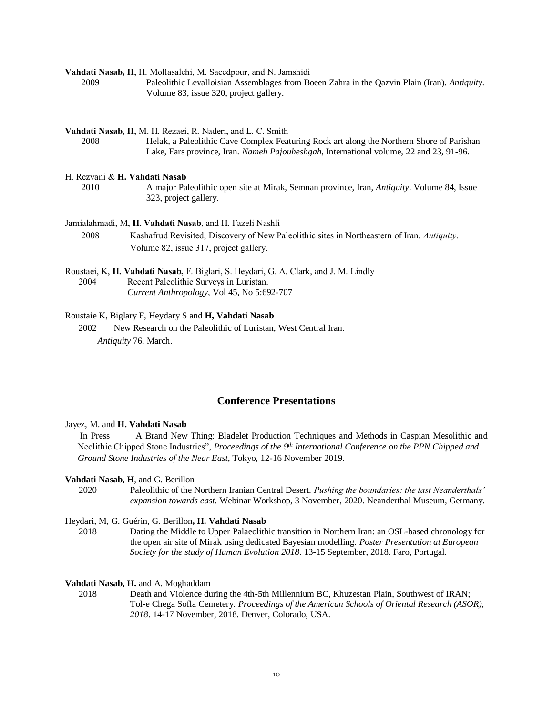**Vahdati Nasab, H**, H. Mollasalehi, M. Saeedpour, and N. Jamshidi

2009 Paleolithic Levalloisian Assemblages from Boeen Zahra in the Qazvin Plain (Iran). *Antiquity*. Volume 83, issue 320, project gallery.

**Vahdati Nasab, H**, M. H. Rezaei, R. Naderi, and L. C. Smith

2008 Helak, a Paleolithic Cave Complex Featuring Rock art along the Northern Shore of Parishan Lake, Fars province, Iran. *Nameh Pajouheshgah*, International volume, 22 and 23, 91-96.

#### H. Rezvani & **H. Vahdati Nasab**

2010 A major Paleolithic open site at Mirak, Semnan province, Iran, *Antiquity*. Volume 84, Issue 323, project gallery.

Jamialahmadi, M, **H. Vahdati Nasab**, and H. Fazeli Nashli

2008 Kashafrud Revisited, Discovery of New Paleolithic sites in Northeastern of Iran. *Antiquity*. Volume 82, issue 317, project gallery.

Roustaei, K, **H. Vahdati Nasab,** F. Biglari, S. Heydari, G. A. Clark, and J. M. Lindly 2004 Recent Paleolithic Surveys in Luristan. *Current Anthropology*, Vol 45, No 5:692-707

#### Roustaie K, Biglary F, Heydary S and **H, Vahdati Nasab**

 2002 New Research on the Paleolithic of Luristan, West Central Iran. *Antiquity* 76, March.

#### **Conference Presentations**

#### Jayez, M. and **H. Vahdati Nasab**

In Press A Brand New Thing: Bladelet Production Techniques and Methods in Caspian Mesolithic and Neolithic Chipped Stone Industries", *Proceedings of the 9th International Conference on the PPN Chipped and Ground Stone Industries of the Near East*, Tokyo, 12-16 November 2019.

#### **Vahdati Nasab, H**, and G. Berillon

2020 Paleolithic of the Northern Iranian Central Desert. *Pushing the boundaries: the last Neanderthals' expansion towards east.* Webinar Workshop, 3 November, 2020. Neanderthal Museum, Germany.

#### Heydari, M, G. Guérin, G. Berillon**, H. Vahdati Nasab**

2018 Dating the Middle to Upper Palaeolithic transition in Northern Iran: an OSL-based chronology for the open air site of Mirak using dedicated Bayesian modelling. *Poster Presentation at European Society for the study of Human Evolution 2018*. 13-15 September, 2018. Faro, Portugal.

**Vahdati Nasab, H.** and A. Moghaddam

2018 Death and Violence during the 4th-5th Millennium BC, Khuzestan Plain, Southwest of IRAN; Tol-e Chega Sofla Cemetery. *Proceedings of the American Schools of Oriental Research (ASOR), 2018*. 14-17 November, 2018. Denver, Colorado, USA.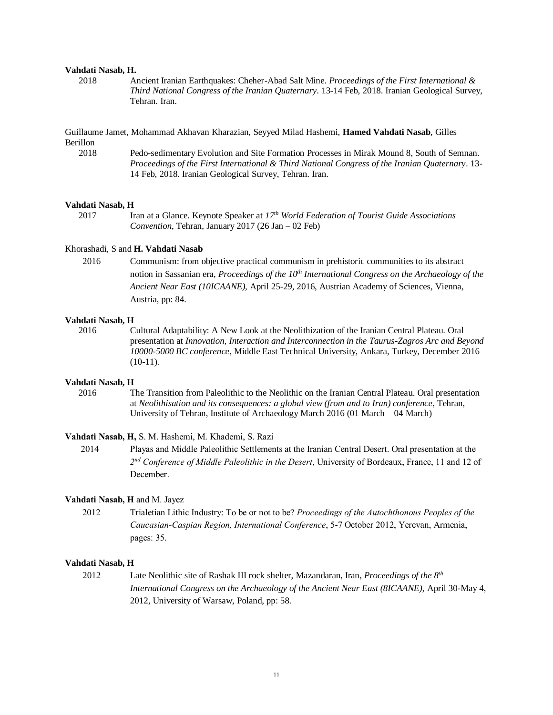#### **Vahdati Nasab, H.**

2018 Ancient Iranian Earthquakes: Cheher-Abad Salt Mine. *Proceedings of the First International & Third National Congress of the Iranian Quaternary*. 13-14 Feb, 2018. Iranian Geological Survey, Tehran. Iran.

Guillaume Jamet, Mohammad Akhavan Kharazian, Seyyed Milad Hashemi, **Hamed Vahdati Nasab**, Gilles Berillon

2018 Pedo-sedimentary Evolution and Site Formation Processes in Mirak Mound 8, South of Semnan. *Proceedings of the First International & Third National Congress of the Iranian Quaternary*. 13- 14 Feb, 2018. Iranian Geological Survey, Tehran. Iran.

#### **Vahdati Nasab, H**

2017 Iran at a Glance. Keynote Speaker at *17th World Federation of Tourist Guide Associations Convention*, Tehran, January 2017 (26 Jan – 02 Feb)

#### Khorashadi, S and **H. Vahdati Nasab**

2016 Communism: from objective practical communism in prehistoric communities to its abstract notion in Sassanian era, *Proceedings of the 10th International Congress on the Archaeology of the Ancient Near East (10ICAANE),* April 25-29, 2016, Austrian Academy of Sciences, Vienna, Austria, pp: 84.

#### **Vahdati Nasab, H**

2016 Cultural Adaptability: A New Look at the Neolithization of the Iranian Central Plateau. Oral presentation at *Innovation, Interaction and Interconnection in the Taurus-Zagros Arc and Beyond 10000-5000 BC conference*, Middle East Technical University, Ankara, Turkey, December 2016  $(10-11)$ .

#### **Vahdati Nasab, H**

2016 The Transition from Paleolithic to the Neolithic on the Iranian Central Plateau. Oral presentation at *Neolithisation and its consequences: a global view (from and to Iran) conference*, Tehran, University of Tehran, Institute of Archaeology March 2016 (01 March – 04 March)

#### **Vahdati Nasab, H,** S. M. Hashemi, M. Khademi, S. Razi

 2014 Playas and Middle Paleolithic Settlements at the Iranian Central Desert. Oral presentation at the 2<sup>nd</sup> Conference of Middle Paleolithic in the Desert, University of Bordeaux, France, 11 and 12 of December.

#### **Vahdati Nasab, H** and M. Jayez

2012 Trialetian Lithic Industry: To be or not to be? *Proceedings of the Autochthonous Peoples of the Caucasian-Caspian Region, International Conference*, 5-7 October 2012, Yerevan, Armenia, pages: 35.

#### **Vahdati Nasab, H**

2012 Late Neolithic site of Rashak III rock shelter, Mazandaran, Iran, *Proceedings of the 8th International Congress on the Archaeology of the Ancient Near East (8ICAANE),* April 30-May 4, 2012, University of Warsaw, Poland, pp: 58.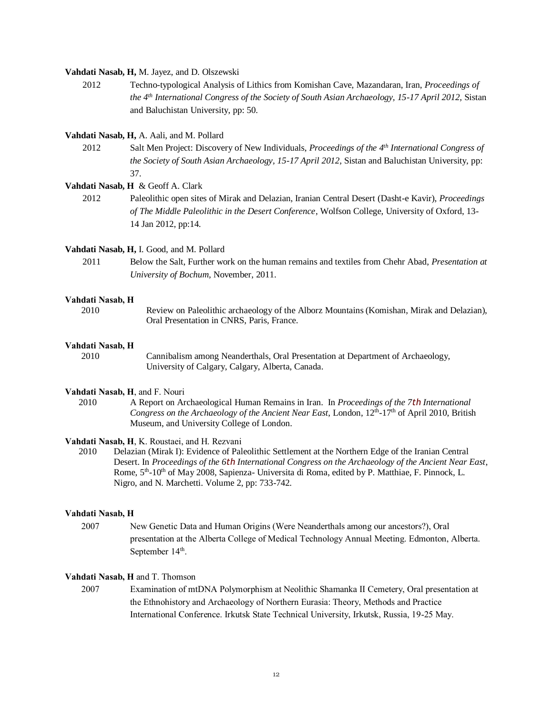#### **Vahdati Nasab, H,** M. Jayez, and D. Olszewski

2012 Techno-typological Analysis of Lithics from Komishan Cave, Mazandaran, Iran, *Proceedings of the 4th International Congress of the Society of South Asian Archaeology, 15-17 April 2012,* Sistan and Baluchistan University, pp: 50.

#### **Vahdati Nasab, H,** A. Aali, and M. Pollard

2012 Salt Men Project: Discovery of New Individuals, *Proceedings of the 4th International Congress of the Society of South Asian Archaeology, 15-17 April 2012,* Sistan and Baluchistan University, pp: 37.

#### **Vahdati Nasab, H** & Geoff A. Clark

2012 Paleolithic open sites of Mirak and Delazian, Iranian Central Desert (Dasht-e Kavir), *Proceedings of The Middle Paleolithic in the Desert Conference*, Wolfson College, University of Oxford, 13- 14 Jan 2012, pp:14.

#### **Vahdati Nasab, H,** I. Good, and M. Pollard

2011 Below the Salt, Further work on the human remains and textiles from Chehr Abad, *Presentation at University of Bochum,* November, 2011.

#### **Vahdati Nasab, H**

2010 Review on Paleolithic archaeology of the Alborz Mountains (Komishan, Mirak and Delazian), Oral Presentation in CNRS, Paris, France.

#### **Vahdati Nasab, H**

2010 Cannibalism among Neanderthals, Oral Presentation at Department of Archaeology, University of Calgary, Calgary, Alberta, Canada.

#### **Vahdati Nasab, H**, and F. Nouri

2010 A Report on Archaeological Human Remains in Iran. In *Proceedings of the 7th International*  Congress on the Archaeology of the Ancient Near East, London, 12<sup>th</sup>-17<sup>th</sup> of April 2010, British Museum, and University College of London.

### **Vahdati Nasab, H**, K. Roustaei, and H. Rezvani

2010 Delazian (Mirak I): Evidence of Paleolithic Settlement at the Northern Edge of the Iranian Central Desert. In *Proceedings of the 6th International Congress on the Archaeology of the Ancient Near East*, Rome, 5<sup>th</sup>-10<sup>th</sup> of May 2008, Sapienza- Universita di Roma, edited by P. Matthiae, F. Pinnock, L. Nigro, and N. Marchetti. Volume 2, pp: 733-742.

#### **Vahdati Nasab, H**

2007 New Genetic Data and Human Origins (Were Neanderthals among our ancestors?), Oral presentation at the Alberta College of Medical Technology Annual Meeting. Edmonton, Alberta. September  $14<sup>th</sup>$ .

### **Vahdati Nasab, H** and T. Thomson

2007 Examination of mtDNA Polymorphism at Neolithic Shamanka II Cemetery, Oral presentation at the Ethnohistory and Archaeology of Northern Eurasia: Theory, Methods and Practice International Conference. Irkutsk State Technical University, Irkutsk, Russia, 19-25 May.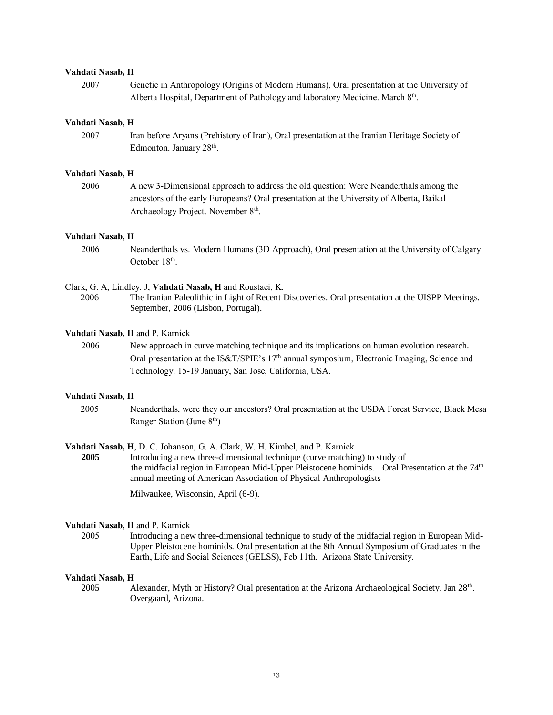#### **Vahdati Nasab, H**

2007 Genetic in Anthropology (Origins of Modern Humans), Oral presentation at the University of Alberta Hospital, Department of Pathology and laboratory Medicine. March 8<sup>th</sup>.

#### **Vahdati Nasab, H**

2007 Iran before Aryans (Prehistory of Iran), Oral presentation at the Iranian Heritage Society of Edmonton. January 28<sup>th</sup>.

#### **Vahdati Nasab, H**

2006 A new 3-Dimensional approach to address the old question: Were Neanderthals among the ancestors of the early Europeans? Oral presentation at the University of Alberta, Baikal Archaeology Project. November 8<sup>th</sup>.

#### **Vahdati Nasab, H**

2006 Neanderthals vs. Modern Humans (3D Approach), Oral presentation at the University of Calgary October 18<sup>th</sup>.

#### Clark, G. A, Lindley. J, **Vahdati Nasab, H** and Roustaei, K.

2006 The Iranian Paleolithic in Light of Recent Discoveries. Oral presentation at the UISPP Meetings. September, 2006 (Lisbon, Portugal).

#### **Vahdati Nasab, H** and P. Karnick

2006 New approach in curve matching technique and its implications on human evolution research. Oral presentation at the IS&T/SPIE's 17th annual symposium, Electronic Imaging, Science and Technology. 15-19 January, San Jose, California, USA.

### **Vahdati Nasab, H**

2005 Neanderthals, were they our ancestors? Oral presentation at the USDA Forest Service, Black Mesa Ranger Station (June 8th)

**Vahdati Nasab, H**, D. C. Johanson, G. A. Clark, W. H. Kimbel, and P. Karnick

**2005** Introducing a new three-dimensional technique (curve matching) to study of the midfacial region in European Mid-Upper Pleistocene hominids. Oral Presentation at the 74<sup>th</sup> annual meeting of American Association of Physical Anthropologists

Milwaukee, Wisconsin, April (6-9).

#### **Vahdati Nasab, H** and P. Karnick

2005 Introducing a new three-dimensional technique to study of the midfacial region in European Mid-Upper Pleistocene hominids. Oral presentation at the 8th Annual Symposium of Graduates in the Earth, Life and Social Sciences (GELSS), Feb 11th. Arizona State University.

#### **Vahdati Nasab, H**

2005 Alexander, Myth or History? Oral presentation at the Arizona Archaeological Society. Jan 28<sup>th</sup>. Overgaard, Arizona.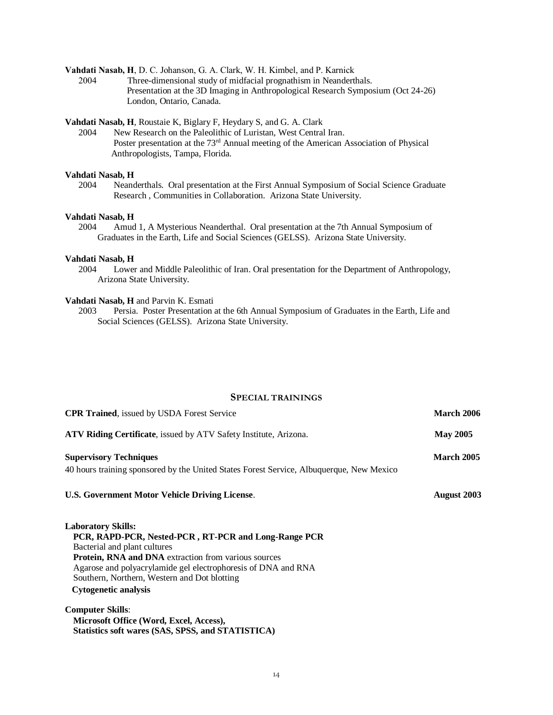**Vahdati Nasab, H**, D. C. Johanson, G. A. Clark, W. H. Kimbel, and P. Karnick

2004 Three-dimensional study of midfacial prognathism in Neanderthals. Presentation at the 3D Imaging in Anthropological Research Symposium (Oct 24-26) London, Ontario, Canada.

#### **Vahdati Nasab, H**, Roustaie K, Biglary F, Heydary S, and G. A. Clark

 2004 New Research on the Paleolithic of Luristan, West Central Iran. Poster presentation at the 73rd Annual meeting of the American Association of Physical Anthropologists, Tampa, Florida.

#### **Vahdati Nasab, H**

 2004 Neanderthals. Oral presentation at the First Annual Symposium of Social Science Graduate Research , Communities in Collaboration. Arizona State University.

#### **Vahdati Nasab, H**

2004 Amud 1, A Mysterious Neanderthal. Oral presentation at the 7th Annual Symposium of Graduates in the Earth, Life and Social Sciences (GELSS). Arizona State University.

#### **Vahdati Nasab, H**

 2004 Lower and Middle Paleolithic of Iran. Oral presentation for the Department of Anthropology, Arizona State University.

# **Vahdati Nasab, H** and Parvin K. Esmati<br>2003 Persia. Poster Presentation

Persia. Poster Presentation at the 6th Annual Symposium of Graduates in the Earth, Life and Social Sciences (GELSS). Arizona State University.

### **SPECIAL TRAININGS**

| <b>CPR Trained, issued by USDA Forest Service</b>                                        | March 2006        |
|------------------------------------------------------------------------------------------|-------------------|
| ATV Riding Certificate, issued by ATV Safety Institute, Arizona.                         | <b>May 2005</b>   |
| <b>Supervisory Techniques</b>                                                            | <b>March 2005</b> |
| 40 hours training sponsored by the United States Forest Service, Albuquerque, New Mexico |                   |
| U.S. Government Motor Vehicle Driving License.                                           | August 2003       |
| <b>Laboratory Skills:</b>                                                                |                   |
| PCR, RAPD-PCR, Nested-PCR, RT-PCR and Long-Range PCR                                     |                   |
| Bacterial and plant cultures                                                             |                   |
| Protein, RNA and DNA extraction from various sources                                     |                   |
| Agarose and polyacrylamide gel electrophoresis of DNA and RNA                            |                   |
| Southern, Northern, Western and Dot blotting                                             |                   |
| <b>Cytogenetic analysis</b>                                                              |                   |